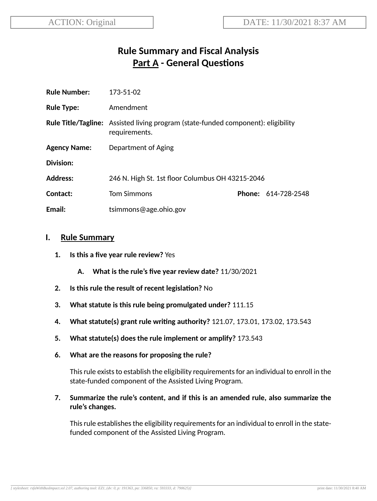# **Rule Summary and Fiscal Analysis Part A - General Questions**

| <b>Rule Number:</b> | 173-51-02                                                                                                 |  |                            |
|---------------------|-----------------------------------------------------------------------------------------------------------|--|----------------------------|
| <b>Rule Type:</b>   | Amendment                                                                                                 |  |                            |
|                     | <b>Rule Title/Tagline:</b> Assisted living program (state-funded component): eligibility<br>requirements. |  |                            |
| <b>Agency Name:</b> | Department of Aging                                                                                       |  |                            |
| <b>Division:</b>    |                                                                                                           |  |                            |
| <b>Address:</b>     | 246 N. High St. 1st floor Columbus OH 43215-2046                                                          |  |                            |
| Contact:            | <b>Tom Simmons</b>                                                                                        |  | <b>Phone: 614-728-2548</b> |
| Email:              | tsimmons@age.ohio.gov                                                                                     |  |                            |

#### **I. Rule Summary**

- **1. Is this a five year rule review?** Yes
	- **A. What is the rule's five year review date?** 11/30/2021
- **2.** Is this rule the result of recent legislation? No
- **3. What statute is this rule being promulgated under?** 111.15
- **4. What statute(s) grant rule wring authority?** 121.07, 173.01, 173.02, 173.543
- **5. What statute(s) does the rule implement or amplify?** 173.543
- **6. What are the reasons for proposing the rule?**

This rule exists to establish the eligibility requirements for an individual to enroll in the state-funded component of the Assisted Living Program.

**7. Summarize the rule's content, and if this is an amended rule, also summarize the rule's changes.**

This rule establishes the eligibility requirements for an individual to enroll in the statefunded component of the Assisted Living Program.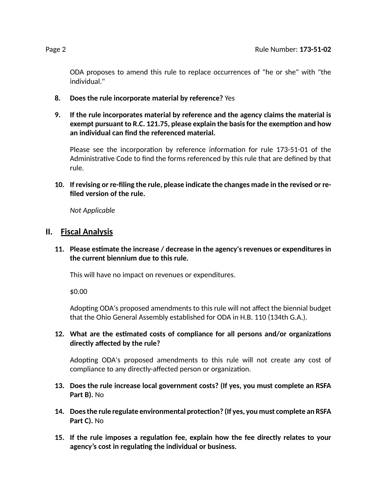ODA proposes to amend this rule to replace occurrences of "he or she" with "the individual."

- **8. Does the rule incorporate material by reference?** Yes
- **9. If the rule incorporates material by reference and the agency claims the material is exempt pursuant to R.C. 121.75, please explain the basisfor the exempon and how an individual can find the referenced material.**

Please see the incorporation by reference information for rule 173-51-01 of the Administrative Code to find the forms referenced by this rule that are defined by that rule.

**10. If revising or re-filing the rule, please indicate the changes made in the revised or refiled version of the rule.**

*Not Applicable*

#### **II. Fiscal Analysis**

**11. Please esmate the increase / decrease in the agency's revenues or expenditures in the current biennium due to this rule.**

This will have no impact on revenues or expenditures.

\$0.00

Adopting ODA's proposed amendments to this rule will not affect the biennial budget that the Ohio General Assembly established for ODA in H.B. 110 (134th G.A.).

**12.** What are the estimated costs of compliance for all persons and/or organizations **directly affected by the rule?**

Adopting ODA's proposed amendments to this rule will not create any cost of compliance to any directly-affected person or organization.

- **13. Does the rule increase local government costs? (If yes, you must complete an RSFA Part B).** No
- **14. Doesthe rule regulate environmental protecon? (If yes, you must complete an RSFA Part C).** No
- **15. If the rule imposes a regulaon fee, explain how the fee directly relates to your agency's cost in regulang the individual or business.**